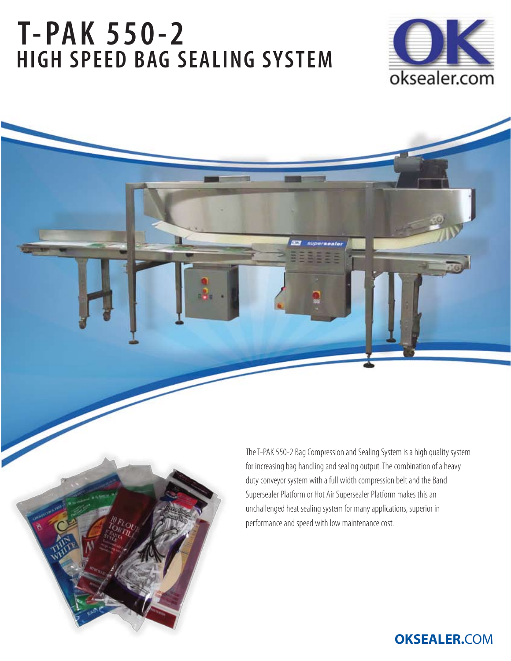## **T-PAK 550-2 HIGH SPEED BAG SEALING SYSTEM**





**OKSEALER.**COM